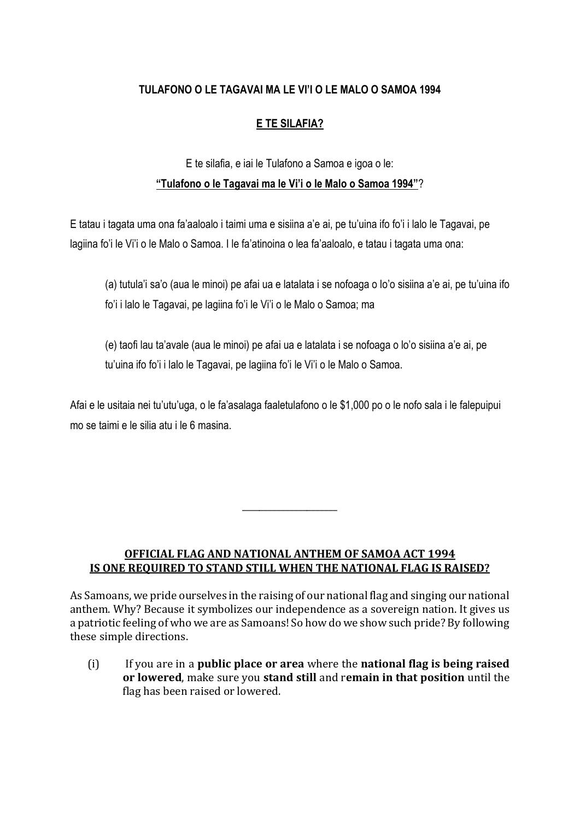## **TULAFONO O LE TAGAVAI MA LE VI'I O LE MALO O SAMOA 1994**

## **E TE SILAFIA?**

## E te silafia, e iai le Tulafono a Samoa e igoa o le: **"Tulafono o le Tagavai ma le Vi'i o le Malo o Samoa 1994"**?

E tatau i tagata uma ona fa'aaloalo i taimi uma e sisiina a'e ai, pe tu'uina ifo fo'i i lalo le Tagavai, pe lagiina fo'i le Vi'i o le Malo o Samoa. I le fa'atinoina o lea fa'aaloalo, e tatau i tagata uma ona:

(a) tutula'i sa'o (aua le minoi) pe afai ua e latalata i se nofoaga o lo'o sisiina a'e ai, pe tu'uina ifo fo'i i lalo le Tagavai, pe lagiina fo'i le Vi'i o le Malo o Samoa; ma

(e) taofi lau ta'avale (aua le minoi) pe afai ua e latalata i se nofoaga o lo'o sisiina a'e ai, pe tu'uina ifo fo'i i lalo le Tagavai, pe lagiina fo'i le Vi'i o le Malo o Samoa.

Afai e le usitaia nei tu'utu'uga, o le fa'asalaga faaletulafono o le \$1,000 po o le nofo sala i le falepuipui mo se taimi e le silia atu i le 6 masina.

## **OFFICIAL FLAG AND NATIONAL ANTHEM OF SAMOA ACT 1994 IS ONE REQUIRED TO STAND STILL WHEN THE NATIONAL FLAG IS RAISED?**

\_\_\_\_\_\_\_\_\_\_\_\_\_\_\_\_\_\_\_\_\_\_

As Samoans, we pride ourselves in the raising of our national flag and singing our national anthem. Why? Because it symbolizes our independence as a sovereign nation. It gives us a patriotic feeling of who we are as Samoans! So how do we show such pride? By following these simple directions.

(i) If you are in a **public place or area** where the **national flag is being raised or lowered**, make sure you **stand still** and r**emain in that position** until the flag has been raised or lowered.